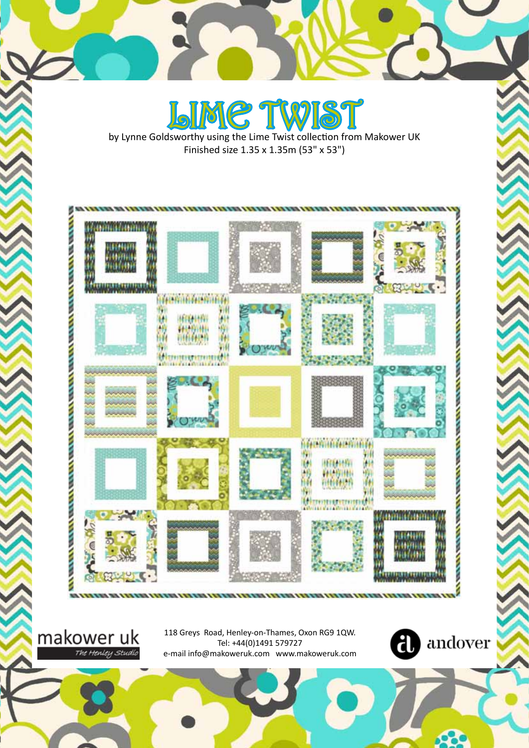LIME TWIST by Lynne Goldsworthy using the Lime Twist collection from Makower UK Finished size 1.35 x 1.35m (53" x 53")



118 Greys Road, Henley-on-Thames, Oxon RG9 1QW. Tel: +44(0)1491 579727 e-mail info@makoweruk.com www.makoweruk.com

makower uk

The Henley Studio

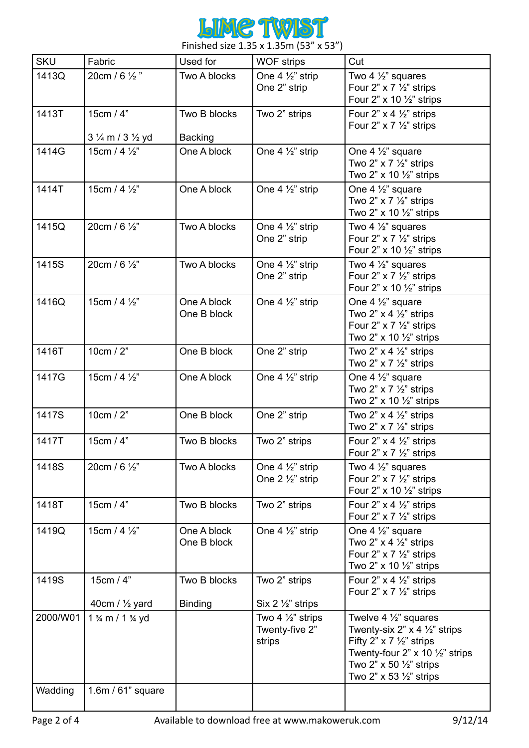

Finished size 1.35 x 1.35m (53" x 53")

| <b>SKU</b>          | Fabric                                                  | Used for                       | <b>WOF strips</b>                                         | Cut                                                                                                                                                                                                                                                            |
|---------------------|---------------------------------------------------------|--------------------------------|-----------------------------------------------------------|----------------------------------------------------------------------------------------------------------------------------------------------------------------------------------------------------------------------------------------------------------------|
| 1413Q               | 20cm / 6 1/2"                                           | Two A blocks                   | One 4 1/2" strip<br>One 2" strip                          | Two 4 $\frac{1}{2}$ " squares<br>Four 2" $\times$ 7 $\frac{1}{2}$ " strips<br>Four 2" $\times$ 10 $\frac{1}{2}$ " strips                                                                                                                                       |
| 1413T               | 15cm / 4"<br>3 1/ <sub>4</sub> m / 3 1/ <sub>2</sub> yd | Two B blocks<br><b>Backing</b> | Two 2" strips                                             | Four 2" $\times$ 4 $\frac{1}{2}$ " strips<br>Four 2" $\times$ 7 $\frac{1}{2}$ " strips                                                                                                                                                                         |
| 1414G               | 15cm / 4 $\frac{1}{2}$ "                                | One A block                    | One 4 1/2" strip                                          | One 4 $\frac{1}{2}$ " square<br>Two 2" $\times$ 7 $\frac{1}{2}$ " strips<br>Two 2" x 10 1/2" strips                                                                                                                                                            |
| 1414T               | 15cm / 4 1/2"                                           | One A block                    | One 4 $\frac{1}{2}$ " strip                               | One 4 $\frac{1}{2}$ " square<br>Two 2" $\times$ 7 $\frac{1}{2}$ " strips<br>Two 2" x 10 1/2" strips                                                                                                                                                            |
| 1415Q               | 20cm / 6 1/2"                                           | Two A blocks                   | One 4 $\frac{1}{2}$ " strip<br>One 2" strip               | Two 4 $\frac{1}{2}$ " squares<br>Four 2" $\times$ 7 $\frac{1}{2}$ " strips<br>Four 2" $\times$ 10 $\frac{1}{2}$ " strips                                                                                                                                       |
| 1415S               | 20cm / 6 1/2"                                           | Two A blocks                   | One 4 $\frac{1}{2}$ " strip<br>One 2" strip               | Two 4 $\frac{1}{2}$ " squares<br>Four 2" $\times$ 7 $\frac{1}{2}$ " strips<br>Four 2" $\times$ 10 $\frac{1}{2}$ " strips                                                                                                                                       |
| 1416Q               | 15cm / 4 1/2"                                           | One A block<br>One B block     | One 4 $\frac{1}{2}$ " strip                               | One 4 $\frac{1}{2}$ " square<br>Two 2" $\times$ 4 $\frac{1}{2}$ " strips<br>Four 2" $\times$ 7 $\frac{1}{2}$ " strips<br>Two 2" $\times$ 10 $\frac{1}{2}$ " strips                                                                                             |
| 1416T               | 10cm $/2$ "                                             | One B block                    | One 2" strip                                              | Two 2" $\times$ 4 $\frac{1}{2}$ " strips<br>Two 2" $\times$ 7 $\frac{1}{2}$ " strips                                                                                                                                                                           |
| 1417G               | 15cm / 4 1/2"                                           | One A block                    | One 4 $\frac{1}{2}$ " strip                               | One 4 $\frac{1}{2}$ " square<br>Two 2" $\times$ 7 $\frac{1}{2}$ " strips<br>Two 2" $\times$ 10 $\frac{1}{2}$ " strips                                                                                                                                          |
| 1417S               | 10cm / 2"                                               | One B block                    | One 2" strip                                              | Two 2" $\times$ 4 $\frac{1}{2}$ " strips<br>Two $2$ " x 7 $\frac{1}{2}$ " strips                                                                                                                                                                               |
| 1417T               | 15cm / 4"                                               | Two B blocks                   | Two 2" strips                                             | Four 2" $\times$ 4 $\frac{1}{2}$ " strips<br>Four 2" $\times$ 7 $\frac{1}{2}$ " strips                                                                                                                                                                         |
| 1418S               | 20cm / 6 1/2"                                           | Two A blocks                   | One 4 $\frac{1}{2}$ " strip<br>One $2\frac{1}{2}$ " strip | Two 4 $\frac{1}{2}$ " squares<br>Four 2" $\times$ 7 $\frac{1}{2}$ " strips<br>Four 2" $\times$ 10 $\frac{1}{2}$ " strips                                                                                                                                       |
| 1418T               | 15cm / 4"                                               | Two B blocks                   | Two 2" strips                                             | Four 2" $\times$ 4 $\frac{1}{2}$ " strips<br>Four 2" $\times$ 7 $\frac{1}{2}$ " strips                                                                                                                                                                         |
| 1419Q               | 15cm / 4 1/2"                                           | One A block<br>One B block     | One 4 1/2" strip                                          | One 4 $\frac{1}{2}$ " square<br>Two 2" $\times$ 4 $\frac{1}{2}$ " strips<br>Four 2" $\times$ 7 $\frac{1}{2}$ " strips<br>Two 2" $\times$ 10 $\frac{1}{2}$ " strips                                                                                             |
| 1419S               | 15cm / 4"<br>40cm / $\frac{1}{2}$ yard                  | Two B blocks<br><b>Binding</b> | Two 2" strips<br>Six 2 $\frac{1}{2}$ strips               | Four 2" $\times$ 4 $\frac{1}{2}$ " strips<br>Four 2" $\times$ 7 $\frac{1}{2}$ " strips                                                                                                                                                                         |
| 2000/W01<br>Wadding | 1 % m / 1 % yd<br>1.6m / 61" square                     |                                | Two 4 $\frac{1}{2}$ " strips<br>Twenty-five 2"<br>strips  | Twelve 4 $\frac{1}{2}$ " squares<br>Twenty-six 2" $\times$ 4 $\frac{1}{2}$ " strips<br>Fifty 2" $\times$ 7 $\frac{1}{2}$ " strips<br>Twenty-four 2" $\times$ 10 $\frac{1}{2}$ " strips<br>Two 2" x 50 1/2" strips<br>Two 2" $\times$ 53 $\frac{1}{2}$ " strips |
|                     |                                                         |                                |                                                           |                                                                                                                                                                                                                                                                |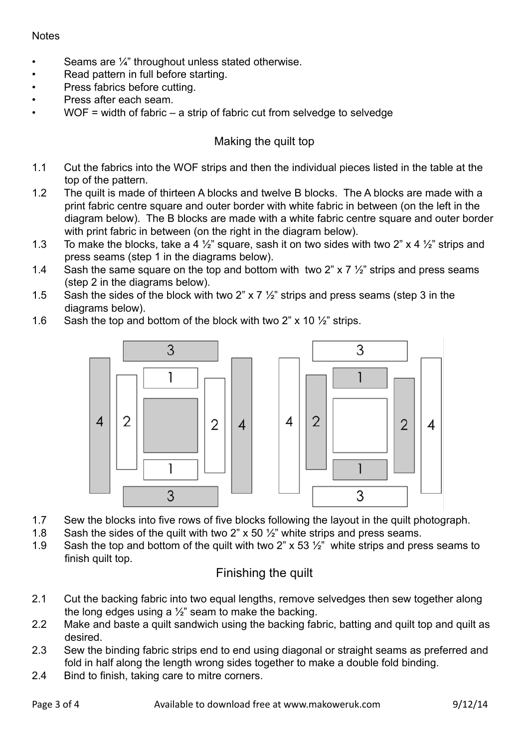## **Notes**

- Seams are  $\frac{1}{4}$ " throughout unless stated otherwise.
- Read pattern in full before starting.
- Press fabrics before cutting.
- Press after each seam.
- $WOF = width of fabric a strip of fabric cut from selvedge to selvedge$

## Making the quilt top

- 1.1 Cut the fabrics into the WOF strips and then the individual pieces listed in the table at the top of the pattern.
- 1.2 The quilt is made of thirteen A blocks and twelve B blocks. The A blocks are made with a print fabric centre square and outer border with white fabric in between (on the left in the diagram below). The B blocks are made with a white fabric centre square and outer border with print fabric in between (on the right in the diagram below).
- 1.3 To make the blocks, take a 4  $\frac{1}{2}$ " square, sash it on two sides with two 2" x 4  $\frac{1}{2}$ " strips and press seams (step 1 in the diagrams below).
- 1.4 Sash the same square on the top and bottom with two 2" x 7  $\frac{1}{2}$ " strips and press seams (step 2 in the diagrams below).
- 1.5 Sash the sides of the block with two 2" x 7  $\frac{1}{2}$ " strips and press seams (step 3 in the diagrams below).
- 1.6 Sash the top and bottom of the block with two 2" x 10 ½" strips.



- 1.7 Sew the blocks into five rows of five blocks following the layout in the quilt photograph.
- 1.8 Sash the sides of the quilt with two 2"  $\times$  50  $\frac{1}{2}$ " white strips and press seams.
- 1.9 Sash the top and bottom of the quilt with two 2" x 53  $\frac{1}{2}$ " white strips and press seams to finish quilt top.

## Finishing the quilt

- 2.1 Cut the backing fabric into two equal lengths, remove selvedges then sew together along the long edges using a  $\frac{1}{2}$ " seam to make the backing.
- 2.2 Make and baste a quilt sandwich using the backing fabric, batting and quilt top and quilt as desired.
- 2.3 Sew the binding fabric strips end to end using diagonal or straight seams as preferred and fold in half along the length wrong sides together to make a double fold binding.
- 2.4 Bind to finish, taking care to mitre corners.